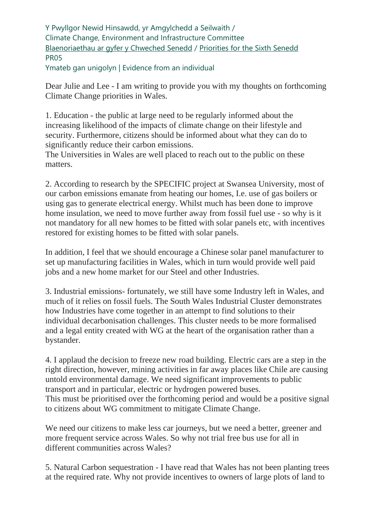Y Pwyllgor Newid Hinsawdd, yr Amgylchedd a Seilwaith / Climate Change, Environment and Infrastructure Committee [Blaenoriaethau ar gyfer y Chweched Senedd](https://busnes.senedd.cymru/mgConsultationDisplay.aspx?id=427&RPID=1026452002&cp=yes) / [Priorities for the Sixth Senedd](https://business.senedd.wales/mgConsultationDisplay.aspx?id=427&RPID=1026452002&cp=yes) PR05

Ymateb gan unigolyn | Evidence from an individual

Dear Julie and Lee - I am writing to provide you with my thoughts on forthcoming Climate Change priorities in Wales.

1. Education - the public at large need to be regularly informed about the increasing likelihood of the impacts of climate change on their lifestyle and security. Furthermore, citizens should be informed about what they can do to significantly reduce their carbon emissions.

The Universities in Wales are well placed to reach out to the public on these matters.

2. According to research by the SPECIFIC project at Swansea University, most of our carbon emissions emanate from heating our homes, I.e. use of gas boilers or using gas to generate electrical energy. Whilst much has been done to improve home insulation, we need to move further away from fossil fuel use - so why is it not mandatory for all new homes to be fitted with solar panels etc, with incentives restored for existing homes to be fitted with solar panels.

In addition, I feel that we should encourage a Chinese solar panel manufacturer to set up manufacturing facilities in Wales, which in turn would provide well paid jobs and a new home market for our Steel and other Industries.

3. Industrial emissions- fortunately, we still have some Industry left in Wales, and much of it relies on fossil fuels. The South Wales Industrial Cluster demonstrates how Industries have come together in an attempt to find solutions to their individual decarbonisation challenges. This cluster needs to be more formalised and a legal entity created with WG at the heart of the organisation rather than a bystander.

4. I applaud the decision to freeze new road building. Electric cars are a step in the right direction, however, mining activities in far away places like Chile are causing untold environmental damage. We need significant improvements to public transport and in particular, electric or hydrogen powered buses. This must be prioritised over the forthcoming period and would be a positive signal to citizens about WG commitment to mitigate Climate Change.

We need our citizens to make less car journeys, but we need a better, greener and more frequent service across Wales. So why not trial free bus use for all in different communities across Wales?

5. Natural Carbon sequestration - I have read that Wales has not been planting trees at the required rate. Why not provide incentives to owners of large plots of land to